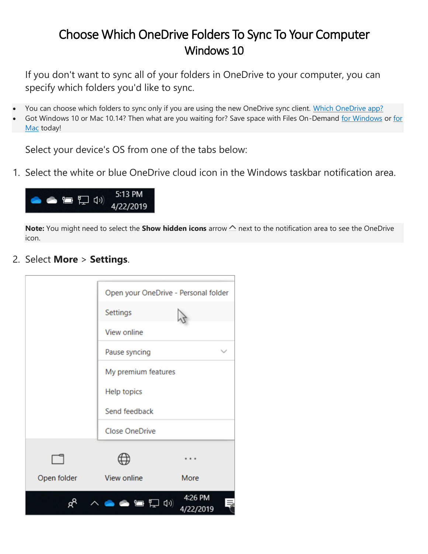## Choose Which OneDrive Folders To Sync To Your Computer Windows 10

If you don't want to sync all of your folders in OneDrive to your computer, you can specify which folders you'd like to sync.

- You can choose which folders to sync only if you are using the new OneDrive sync client. [Which OneDrive app?](https://support.office.com/en-us/article/which-onedrive-app-19246eae-8a51-490a-8d97-a645c151f2ba)
- Got Windows 10 or Mac 10.14? Then what are you waiting for? Save space with Files On-Demand [for Windows](https://support.office.com/en-us/article/save-disk-space-with-onedrive-files-on-demand-for-windows-10-0e6860d3-d9f3-4971-b321-7092438fb38e) or for [Mac](https://support.office.com/en-us/article/save-disk-space-with-onedrive-files-on-demand-for-mac-529f6d53-e572-4922-a585-e7a318c135f0) today!

Select your device's OS from one of the tabs below:

1. Select the white or blue OneDrive cloud icon in the Windows taskbar notification area.



**Note:** You might need to select the **Show hidden icons** arrow  $\sim$  next to the notification area to see the OneDrive icon.

2. Select **More** > **Settings**.